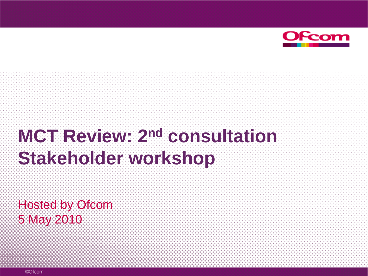

# **MCT Review: 2nd consultation Stakeholder workshop**

Hosted by Ofcom 5 May 2010

©Ofcom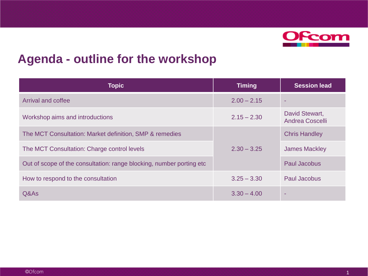

#### **Agenda - outline for the workshop**

| <b>Topic</b>                                                          | <b>Timing</b> | <b>Session lead</b>                      |  |
|-----------------------------------------------------------------------|---------------|------------------------------------------|--|
| <b>Arrival and coffee</b>                                             | $2.00 - 2.15$ |                                          |  |
| Workshop aims and introductions                                       | $2.15 - 2.30$ | David Stewart,<br><b>Andrea Coscelli</b> |  |
| The MCT Consultation: Market definition, SMP & remedies               |               | <b>Chris Handley</b>                     |  |
| The MCT Consultation: Charge control levels                           | $2.30 - 3.25$ | <b>James Mackley</b>                     |  |
| Out of scope of the consultation: range blocking, number porting etc. |               | Paul Jacobus                             |  |
| How to respond to the consultation                                    | $3.25 - 3.30$ | <b>Paul Jacobus</b>                      |  |
| Q&As                                                                  | $3.30 - 4.00$ |                                          |  |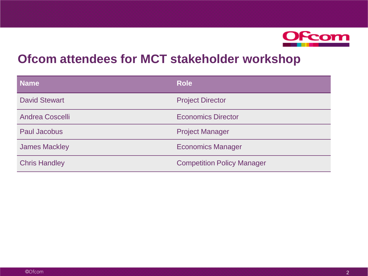

#### **Ofcom attendees for MCT stakeholder workshop**

| <b>Name</b>            | <b>Role</b>                       |
|------------------------|-----------------------------------|
| <b>David Stewart</b>   | <b>Project Director</b>           |
| <b>Andrea Coscelli</b> | <b>Economics Director</b>         |
| <b>Paul Jacobus</b>    | <b>Project Manager</b>            |
| <b>James Mackley</b>   | <b>Economics Manager</b>          |
| <b>Chris Handley</b>   | <b>Competition Policy Manager</b> |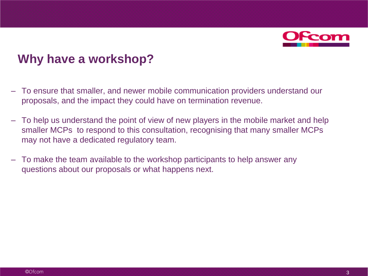

#### **Why have a workshop?**

- To ensure that smaller, and newer mobile communication providers understand our proposals, and the impact they could have on termination revenue.
- To help us understand the point of view of new players in the mobile market and help smaller MCPs to respond to this consultation, recognising that many smaller MCPs may not have a dedicated regulatory team.
- To make the team available to the workshop participants to help answer any questions about our proposals or what happens next.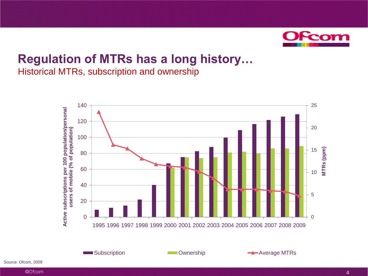

#### **Regulation of MTRs has a long history…** Historical MTRs, subscription and ownership



©Ofcom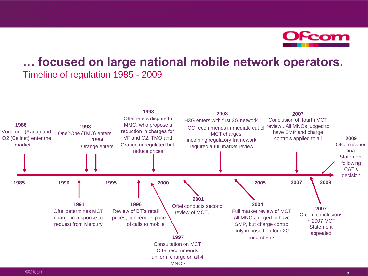

#### **… focused on large national mobile network operators.** Timeline of regulation 1985 - 2009

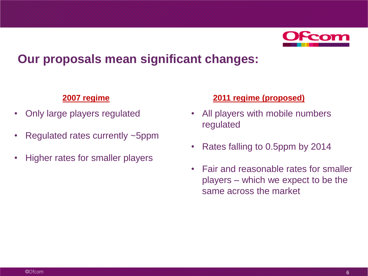

#### **Our proposals mean significant changes:**

- Only large players regulated
- Regulated rates currently ~5ppm
- Higher rates for smaller players

#### **2007 regime 2011 regime (proposed)**

- All players with mobile numbers regulated
- Rates falling to 0.5ppm by 2014
- Fair and reasonable rates for smaller players – which we expect to be the same across the market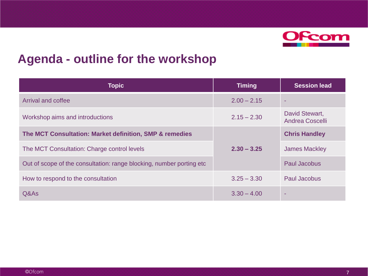

#### **Agenda - outline for the workshop**

| <b>Topic</b>                                                         | <b>Timing</b> | <b>Session lead</b>                      |
|----------------------------------------------------------------------|---------------|------------------------------------------|
| <b>Arrival and coffee</b>                                            | $2.00 - 2.15$ |                                          |
| Workshop aims and introductions                                      | $2.15 - 2.30$ | David Stewart,<br><b>Andrea Coscelli</b> |
| The MCT Consultation: Market definition, SMP & remedies              |               | <b>Chris Handley</b>                     |
| The MCT Consultation: Charge control levels                          | $2.30 - 3.25$ | <b>James Mackley</b>                     |
| Out of scope of the consultation: range blocking, number porting etc |               | Paul Jacobus                             |
| How to respond to the consultation                                   | $3.25 - 3.30$ | <b>Paul Jacobus</b>                      |
| Q&As                                                                 | $3.30 - 4.00$ |                                          |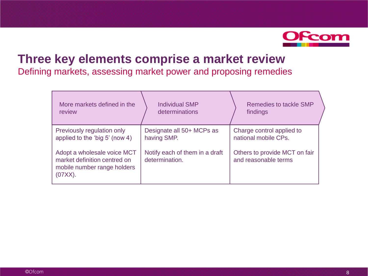

#### **Three key elements comprise a market review**

Defining markets, assessing market power and proposing remedies

| More markets defined in the                                                                           | <b>Individual SMP</b>                            | Remedies to tackle SMP                                |
|-------------------------------------------------------------------------------------------------------|--------------------------------------------------|-------------------------------------------------------|
| review                                                                                                | determinations                                   | findings                                              |
| Previously regulation only                                                                            | Designate all 50+ MCPs as                        | Charge control applied to                             |
| applied to the 'big 5' (now 4)                                                                        | having SMP.                                      | national mobile CPs.                                  |
| Adopt a wholesale voice MCT<br>market definition centred on<br>mobile number range holders<br>(07XX). | Notify each of them in a draft<br>determination. | Others to provide MCT on fair<br>and reasonable terms |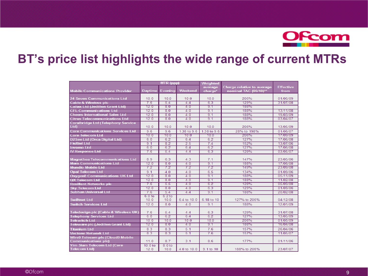

#### **BT's price list highlights the wide range of current MTRs**

|                                           | MTR (ppp)          |         | <b>Weighted</b> |             |                            |                  |
|-------------------------------------------|--------------------|---------|-----------------|-------------|----------------------------|------------------|
|                                           |                    |         |                 | average     | Charge relative to average | <b>Effective</b> |
| <b>Mobile Communications Provider</b>     | <b>Daytime</b>     | Evening | Weekend         | charge*     | nominal TAC (09/10)**      | from             |
|                                           |                    |         |                 |             |                            |                  |
| 24 Seven Communications Ltd               | 10.0               | 10.0    | 10.0            | 10.0        | 206%                       | 01/06/09         |
| <b>Cable &amp; Wireless plc</b>           | 7.6                | 5.4     | 4.4             | 6.3         | 129%                       | 31/07/08         |
| <b>Callax Ltd (Jedillon Grant Ltd)</b>    | 12.0               | 8.0     | 4.0             | 9.1         | 188%                       |                  |
| <b>CFL Communications Ltd</b>             | 12.0               | 8.0     | 4.0             | 9.1         | 188%                       | 13/11/08         |
| <b>Cheers International Sales Ltd</b>     | 12.0               | 8.0     | 4.0             | 9.1         | 188%                       | 19/03/09         |
| <b>Citrus Telecommunications Ltd</b>      | 12.0               | 8.0     | 4.0             | 9.1         | 188%                       | 03/04/07         |
| <b>Coralbridge Ltd (Telephony Service</b> |                    |         |                 |             |                            |                  |
| Ltd)                                      | 10.0               | 10.0    | 10.0            | 10.0        | 206%                       | 13/05/09         |
| <b>Core Communications Services Ltd</b>   | 9.6                | 9.6     | 1.38 to 9.6     | 1.38 to 9.6 | 28% to 198%                | 01/06/07         |
| <b>Core Telecom Ltd</b>                   | 10.0               | 10.0    | 10.0            | 10.0        | 206%                       | 17/09/09         |
| <b>D2See Ltd (Orca Digital Ltd)</b>       | 6.0                | 6.2     | 6.4             | 6.2         | 127%                       | 17/06/08         |
| <b>FleXtel Ltd</b>                        | 9.1                | 8.2     | 2.5             | 7.4         | 152%                       | 13/07/06         |
| <b>Invomo Ltd</b>                         | 6.0                | 6.2     | 6.4             | 6.2         | 127%                       | 17/06/08         |
| <b>IV Response Ltd</b>                    | 7.6                | 5.4     | 4.4             | 63          | 129%                       | 03/05/07         |
|                                           |                    |         |                 |             |                            |                  |
| <b>Magrethea Telecommunications Ltd</b>   | 8.9                | 6.3     | 4.3             | 7.1         | 147%                       | 23/05/06         |
| <b>Mars Communications Ltd</b>            | 12.0               | 8.0     | 4.0             | 9.1         | 188%                       | 17/06/08         |
| <b>Mundio Mobile Ltd</b>                  | 7.2                | 7.2     | 72              | 72          | 149%                       | 23/09/08         |
| <b>Opal Telecom Ltd</b>                   | 9.1                | 4.0     | 4.0             | 6.5         | 134%                       | 01/09/06         |
| <b>Oxygen8 Communications UK Ltd</b>      | 12.0               | 8.0     | 4.0             | 9.1         | 188%                       | 05/11/09         |
| <b>QX Telecom Ltd</b>                     | 12.0               | 8.0     | 4.0             | 9.1         | 188%                       | 11/02/08         |
| <b>Resillent Networks plc</b>             | 7.6                | 5.5     | 4.0             | 62          | 128%                       | 05/09/08         |
| <b>Sky Telecom Ltd</b>                    | 12.0               | 8.0     | 4.0             | 6.3         | 129%                       | 01/09/06         |
| <b>Subhan Universal Ltd</b>               | 7.6                | 5.4     | 4.4             | 9.1         | 188%                       | 20/02/08         |
|                                           | 6.0 to             | 6.2 to  |                 |             |                            |                  |
| <b>Swiftnet Ltd</b>                       | 10.0               | 10.0    | 6.4 to 10.0     | 6.18 to 10  | 127% to 206%               | 04/12/08         |
| <b>Switch Services Ltd</b>                | 12.0               | 8.0     | 4.0             | 9.1         | 188%                       | 12/01/09         |
|                                           |                    |         |                 |             |                            |                  |
| Teledesign plc (Cable & Wireless UK)      | 7.6                | 5.4     | 4.4             | 6.3         | 129%                       | 31/07/08         |
| <b>Telephony Services Ltd</b>             | 6.0                | 6.2     | 6.4             | 6.2         | 127%                       | 13/05/09         |
| <b>Telswitch Ltd</b>                      | 10.0               | 10.0    | 10.0            | 10.0        | 206%                       | 01/05/09         |
| Teleware plc (Jedillon Grant Ltd)         | 12.0               | 8.0     | 4.0             | 9.1         | 188%                       | 16/04/08         |
| <b>Titanium Ltd</b>                       | 8.3                | 8.3     | 5.1             | 7.6         | 157%                       | 26/04/06         |
| <b>Vectone Network Ltd</b>                | 8.3                | 8.3     | 5.1             | 7.6         | 157%                       | 11/05/07         |
| <b>Wire9 Telecom plc (Cloud9 Mobile</b>   |                    |         |                 |             |                            |                  |
| <b>Communications plc)</b>                | 11.0               | 8.7     | 3.1             | 8.6         | 177%                       | 01/11/06         |
| <b>Yim Siam Telecom Ltd (Core</b>         | 10.0 <sub>to</sub> | 8.0 to  |                 |             |                            |                  |
| <b>Telecom Ltd)</b>                       | 12.0               | 10.0    | 4.0 to 10.0     | 9.1 to 10   | 188% to 206%               | 23/07/07         |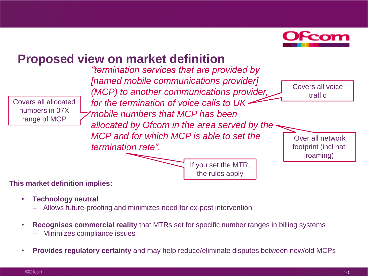

Covers all voice traffic

Over all network footprint (incl natl roaming)

## **Proposed view on market definition**

Covers all allocated numbers in 07X range of MCP

*"termination services that are provided by [named mobile communications provider] (MCP) to another communications provider, for the termination of voice calls to UK mobile numbers that MCP has been allocated by Ofcom in the area served by the MCP and for which MCP is able to set the termination rate".* 

> If you set the MTR, the rules apply

#### **This market definition implies:**

- **Technology neutral**
	- Allows future-proofing and minimizes need for ex-post intervention
- **Recognises commercial reality** that MTRs set for specific number ranges in billing systems
	- Minimizes compliance issues
- **Provides regulatory certainty** and may help reduce/eliminate disputes between new/old MCPs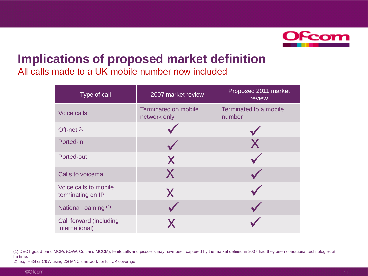

# **Implications of proposed market definition**

All calls made to a UK mobile number now included

| Type of call                               | 2007 market review                          | Proposed 2011 market<br>review   |
|--------------------------------------------|---------------------------------------------|----------------------------------|
| Voice calls                                | <b>Terminated on mobile</b><br>network only | Terminated to a mobile<br>number |
| Off-net $(1)$                              |                                             |                                  |
| Ported-in                                  |                                             | X                                |
| Ported-out                                 | X                                           |                                  |
| <b>Calls to voicemail</b>                  | X                                           |                                  |
| Voice calls to mobile<br>terminating on IP | X                                           |                                  |
| National roaming (2)                       |                                             |                                  |
| Call forward (including<br>international)  |                                             |                                  |

(1) DECT guard band MCPs (C&W, Colt and MCOM), femtocells and picocells may have been captured by the market defined in 2007 had they been operational technologies at the time.

(2) e.g. H3G or C&W using 2G MNO's network for full UK coverage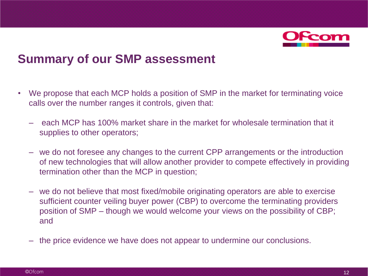

#### **Summary of our SMP assessment**

- We propose that each MCP holds a position of SMP in the market for terminating voice calls over the number ranges it controls, given that:
	- each MCP has 100% market share in the market for wholesale termination that it supplies to other operators;
	- we do not foresee any changes to the current CPP arrangements or the introduction of new technologies that will allow another provider to compete effectively in providing termination other than the MCP in question;
	- we do not believe that most fixed/mobile originating operators are able to exercise sufficient counter veiling buyer power (CBP) to overcome the terminating providers position of SMP – though we would welcome your views on the possibility of CBP; and
	- the price evidence we have does not appear to undermine our conclusions.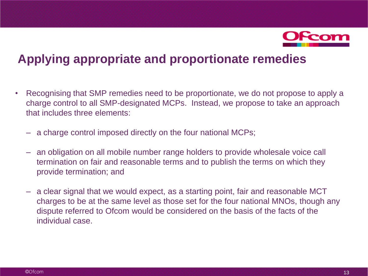

#### **Applying appropriate and proportionate remedies**

- Recognising that SMP remedies need to be proportionate, we do not propose to apply a charge control to all SMP-designated MCPs. Instead, we propose to take an approach that includes three elements:
	- a charge control imposed directly on the four national MCPs;
	- an obligation on all mobile number range holders to provide wholesale voice call termination on fair and reasonable terms and to publish the terms on which they provide termination; and
	- a clear signal that we would expect, as a starting point, fair and reasonable MCT charges to be at the same level as those set for the four national MNOs, though any dispute referred to Ofcom would be considered on the basis of the facts of the individual case.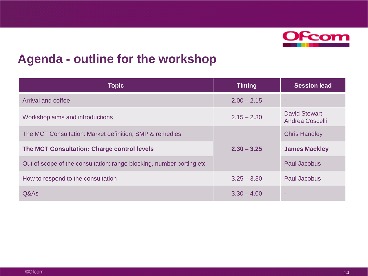

#### **Agenda - outline for the workshop**

| <b>Topic</b>                                                          | <b>Timing</b> | <b>Session lead</b>                      |
|-----------------------------------------------------------------------|---------------|------------------------------------------|
| <b>Arrival and coffee</b>                                             | $2.00 - 2.15$ |                                          |
| Workshop aims and introductions                                       | $2.15 - 2.30$ | David Stewart,<br><b>Andrea Coscelli</b> |
| The MCT Consultation: Market definition, SMP & remedies               |               | <b>Chris Handley</b>                     |
| <b>The MCT Consultation: Charge control levels</b>                    | $2.30 - 3.25$ | <b>James Mackley</b>                     |
| Out of scope of the consultation: range blocking, number porting etc. |               | Paul Jacobus                             |
| How to respond to the consultation                                    | $3.25 - 3.30$ | <b>Paul Jacobus</b>                      |
| Q&As                                                                  | $3.30 - 4.00$ |                                          |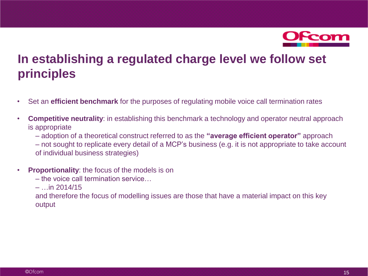

### **In establishing a regulated charge level we follow set principles**

- Set an **efficient benchmark** for the purposes of regulating mobile voice call termination rates
- **Competitive neutrality**: in establishing this benchmark a technology and operator neutral approach is appropriate
	- adoption of a theoretical construct referred to as the **"average efficient operator"** approach
	- not sought to replicate every detail of a MCP's business (e.g. it is not appropriate to take account of individual business strategies)
- **Proportionality**: the focus of the models is on
	- the voice call termination service…
	- $-$  …in 2014/15

and therefore the focus of modelling issues are those that have a material impact on this key output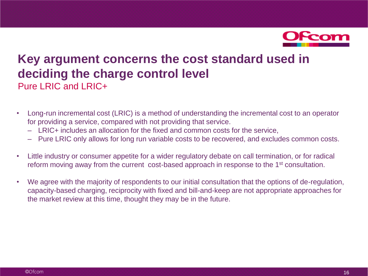

#### **Key argument concerns the cost standard used in deciding the charge control level** Pure LRIC and LRIC+

- Long-run incremental cost (LRIC) is a method of understanding the incremental cost to an operator for providing a service, compared with not providing that service.
	- LRIC+ includes an allocation for the fixed and common costs for the service,
	- Pure LRIC only allows for long run variable costs to be recovered, and excludes common costs.
- Little industry or consumer appetite for a wider regulatory debate on call termination, or for radical reform moving away from the current cost-based approach in response to the 1<sup>st</sup> consultation.
- We agree with the majority of respondents to our initial consultation that the options of de-regulation, capacity-based charging, reciprocity with fixed and bill-and-keep are not appropriate approaches for the market review at this time, thought they may be in the future.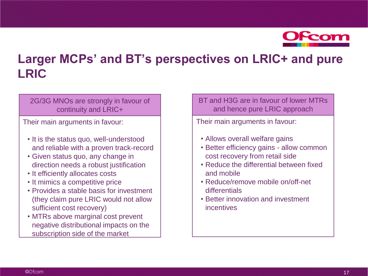

### **Larger MCPs' and BT's perspectives on LRIC+ and pure LRIC**

#### 2G/3G MNOs are strongly in favour of continuity and LRIC+

Their main arguments in favour:

- It is the status quo, well-understood and reliable with a proven track-record
- Given status quo, any change in direction needs a robust justification
- It efficiently allocates costs
- It mimics a competitive price
- Provides a stable basis for investment (they claim pure LRIC would not allow sufficient cost recovery)
- MTRs above marginal cost prevent negative distributional impacts on the subscription side of the market

BT and H3G are in favour of lower MTRs and hence pure LRIC approach

Their main arguments in favour:

- Allows overall welfare gains
- Better efficiency gains allow common cost recovery from retail side
- Reduce the differential between fixed and mobile
- Reduce/remove mobile on/off-net differentials
- Better innovation and investment incentives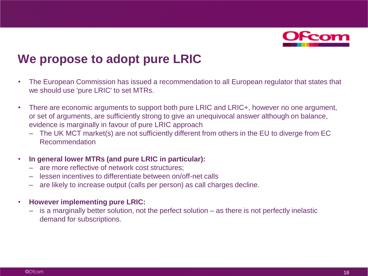

#### **We propose to adopt pure LRIC**

- The European Commission has issued a recommendation to all European regulator that states that we should use 'pure LRIC' to set MTRs.
- There are economic arguments to support both pure LRIC and LRIC+, however no one argument, or set of arguments, are sufficiently strong to give an unequivocal answer although on balance, evidence is marginally in favour of pure LRIC approach
	- The UK MCT market(s) are not sufficiently different from others in the EU to diverge from EC Recommendation
- **In general lower MTRs (and pure LRIC in particular):**
	- are more reflective of network cost structures;
	- lessen incentives to differentiate between on/off-net calls
	- are likely to increase output (calls per person) as call charges decline.
- **However implementing pure LRIC:**
	- is a marginally better solution, not the perfect solution as there is not perfectly inelastic demand for subscriptions.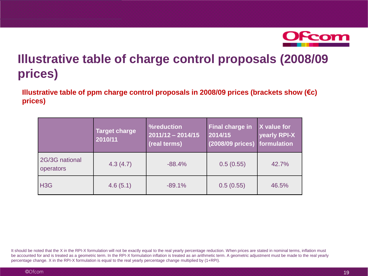

## **Illustrative table of charge control proposals (2008/09 prices)**

**Illustrative table of ppm charge control proposals in 2008/09 prices (brackets show (€c) prices)**

|                             | <b>Target charge</b><br>2010/11 | %reduction<br>$2011/12 - 2014/15$<br>(real terms) | <b>Final charge in</b><br>2014/15<br>(2008/09 prices) formulation | X value for<br>yearly RPI-X |
|-----------------------------|---------------------------------|---------------------------------------------------|-------------------------------------------------------------------|-----------------------------|
| 2G/3G national<br>operators | 4.3(4.7)                        | $-88.4%$                                          | 0.5(0.55)                                                         | 42.7%                       |
| H <sub>3</sub> G            | 4.6(5.1)                        | $-89.1%$                                          | 0.5(0.55)                                                         | 46.5%                       |

It should be noted that the X in the RPI-X formulation will not be exactly equal to the real yearly percentage reduction. When prices are stated in nominal terms, inflation must be accounted for and is treated as a geometric term. In the RPI-X formulation inflation is treated as an arithmetic term. A geometric adjustment must be made to the real yearly percentage change. X in the RPI-X formulation is equal to the real yearly percentage change multiplied by (1+RPI).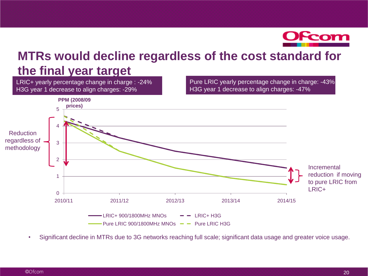

#### **MTRs would decline regardless of the cost standard for the final year target**

LRIC+ yearly percentage change in charge : -24% H3G year 1 decrease to align charges: -29%

Pure LRIC yearly percentage change in charge: -43% H3G year 1 decrease to align charges: -47%



• Significant decline in MTRs due to 3G networks reaching full scale; significant data usage and greater voice usage.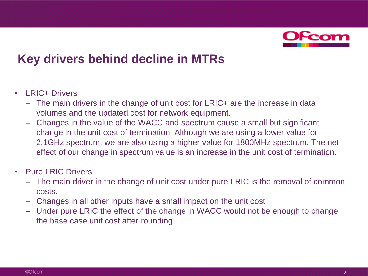

#### **Key drivers behind decline in MTRs**

- LRIC+ Drivers
	- The main drivers in the change of unit cost for LRIC+ are the increase in data volumes and the updated cost for network equipment.
	- Changes in the value of the WACC and spectrum cause a small but significant change in the unit cost of termination. Although we are using a lower value for 2.1GHz spectrum, we are also using a higher value for 1800MHz spectrum. The net effect of our change in spectrum value is an increase in the unit cost of termination.
- Pure I RIC Drivers
	- The main driver in the change of unit cost under pure LRIC is the removal of common costs.
	- Changes in all other inputs have a small impact on the unit cost
	- Under pure LRIC the effect of the change in WACC would not be enough to change the base case unit cost after rounding.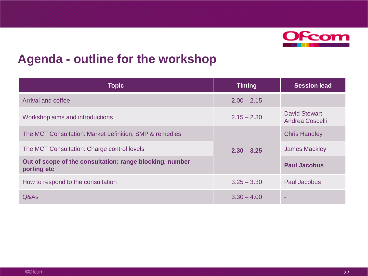

#### **Agenda - outline for the workshop**

| <b>Topic</b>                                                            | <b>Timing</b> | <b>Session lead</b>                      |
|-------------------------------------------------------------------------|---------------|------------------------------------------|
| <b>Arrival and coffee</b>                                               | $2.00 - 2.15$ |                                          |
| Workshop aims and introductions                                         | $2.15 - 2.30$ | David Stewart,<br><b>Andrea Coscelli</b> |
| The MCT Consultation: Market definition, SMP & remedies                 |               | <b>Chris Handley</b>                     |
| The MCT Consultation: Charge control levels                             | $2.30 - 3.25$ | <b>James Mackley</b>                     |
| Out of scope of the consultation: range blocking, number<br>porting etc |               | <b>Paul Jacobus</b>                      |
| How to respond to the consultation                                      | $3.25 - 3.30$ | <b>Paul Jacobus</b>                      |
| Q&As                                                                    | $3.30 - 4.00$ |                                          |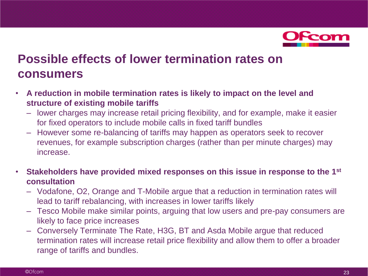

#### **Possible effects of lower termination rates on consumers**

- **A reduction in mobile termination rates is likely to impact on the level and structure of existing mobile tariffs**
	- lower charges may increase retail pricing flexibility, and for example, make it easier for fixed operators to include mobile calls in fixed tariff bundles
	- However some re-balancing of tariffs may happen as operators seek to recover revenues, for example subscription charges (rather than per minute charges) may increase.
- **Stakeholders have provided mixed responses on this issue in response to the 1st consultation**
	- Vodafone, O2, Orange and T-Mobile argue that a reduction in termination rates will lead to tariff rebalancing, with increases in lower tariffs likely
	- Tesco Mobile make similar points, arguing that low users and pre-pay consumers are likely to face price increases
	- Conversely Terminate The Rate, H3G, BT and Asda Mobile argue that reduced termination rates will increase retail price flexibility and allow them to offer a broader range of tariffs and bundles.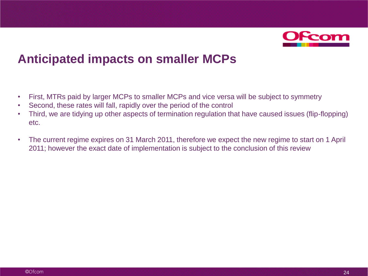

#### **Anticipated impacts on smaller MCPs**

- First, MTRs paid by larger MCPs to smaller MCPs and vice versa will be subject to symmetry
- Second, these rates will fall, rapidly over the period of the control
- Third, we are tidying up other aspects of termination regulation that have caused issues (flip-flopping) etc.
- The current regime expires on 31 March 2011, therefore we expect the new regime to start on 1 April 2011; however the exact date of implementation is subject to the conclusion of this review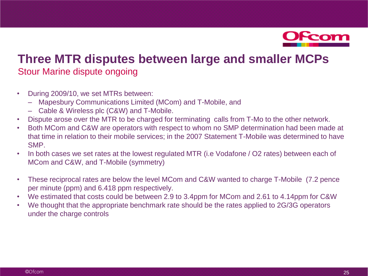

#### **Three MTR disputes between large and smaller MCPs** Stour Marine dispute ongoing

- During 2009/10, we set MTRs between:
	- Mapesbury Communications Limited (MCom) and T-Mobile, and
	- Cable & Wireless plc (C&W) and T-Mobile.
- Dispute arose over the MTR to be charged for terminating calls from T-Mo to the other network.
- Both MCom and C&W are operators with respect to whom no SMP determination had been made at that time in relation to their mobile services; in the 2007 Statement T-Mobile was determined to have SMP.
- In both cases we set rates at the lowest regulated MTR (i.e Vodafone / O2 rates) between each of MCom and C&W, and T-Mobile (symmetry)
- These reciprocal rates are below the level MCom and C&W wanted to charge T-Mobile (7.2 pence per minute (ppm) and 6.418 ppm respectively.
- We estimated that costs could be between 2.9 to 3.4ppm for MCom and 2.61 to 4.14ppm for C&W
- We thought that the appropriate benchmark rate should be the rates applied to 2G/3G operators under the charge controls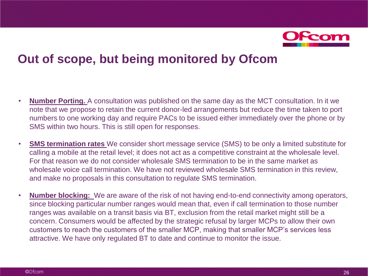

#### **Out of scope, but being monitored by Ofcom**

- **Number Porting.** A consultation was published on the same day as the MCT consultation. In it we note that we propose to retain the current donor-led arrangements but reduce the time taken to port numbers to one working day and require PACs to be issued either immediately over the phone or by SMS within two hours. This is still open for responses.
- **SMS termination rates** We consider short message service (SMS) to be only a limited substitute for calling a mobile at the retail level; it does not act as a competitive constraint at the wholesale level. For that reason we do not consider wholesale SMS termination to be in the same market as wholesale voice call termination. We have not reviewed wholesale SMS termination in this review, and make no proposals in this consultation to regulate SMS termination.
- **Number blocking:** We are aware of the risk of not having end-to-end connectivity among operators, since blocking particular number ranges would mean that, even if call termination to those number ranges was available on a transit basis via BT, exclusion from the retail market might still be a concern. Consumers would be affected by the strategic refusal by larger MCPs to allow their own customers to reach the customers of the smaller MCP, making that smaller MCP's services less attractive. We have only regulated BT to date and continue to monitor the issue.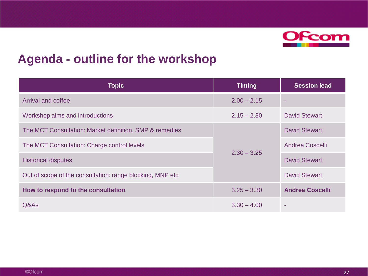

#### **Agenda - outline for the workshop**

| <b>Topic</b>                                              | <b>Timing</b> | <b>Session lead</b>    |
|-----------------------------------------------------------|---------------|------------------------|
| Arrival and coffee                                        | $2.00 - 2.15$ |                        |
| Workshop aims and introductions                           | $2.15 - 2.30$ | <b>David Stewart</b>   |
| The MCT Consultation: Market definition, SMP & remedies   |               | <b>David Stewart</b>   |
| The MCT Consultation: Charge control levels               |               |                        |
| $2.30 - 3.25$<br><b>Historical disputes</b>               |               | <b>David Stewart</b>   |
| Out of scope of the consultation: range blocking, MNP etc |               | <b>David Stewart</b>   |
| How to respond to the consultation                        | $3.25 - 3.30$ | <b>Andrea Coscelli</b> |
| Q&As                                                      | $3.30 - 4.00$ |                        |